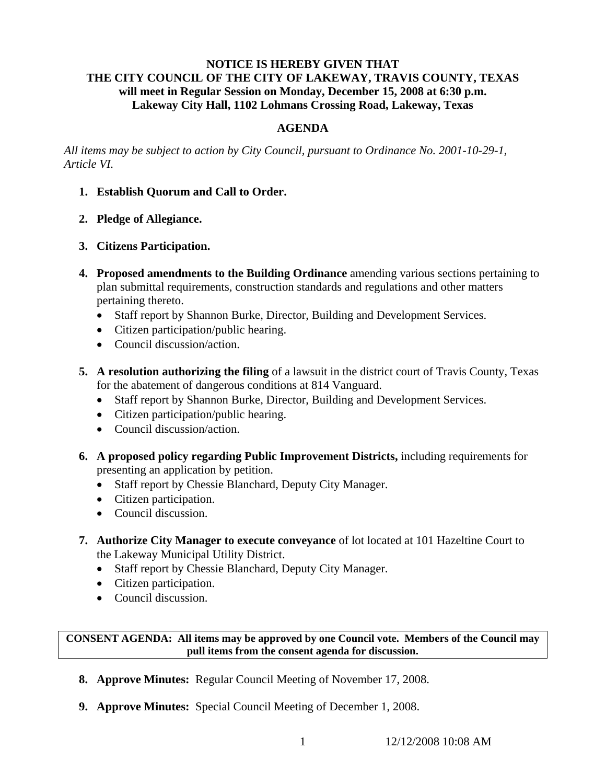# **NOTICE IS HEREBY GIVEN THAT THE CITY COUNCIL OF THE CITY OF LAKEWAY, TRAVIS COUNTY, TEXAS will meet in Regular Session on Monday, December 15, 2008 at 6:30 p.m. Lakeway City Hall, 1102 Lohmans Crossing Road, Lakeway, Texas**

# **AGENDA**

*All items may be subject to action by City Council, pursuant to Ordinance No. 2001-10-29-1, Article VI.* 

- **1. Establish Quorum and Call to Order.**
- **2. Pledge of Allegiance.**
- **3. Citizens Participation.**
- **4. Proposed amendments to the Building Ordinance** amending various sections pertaining to plan submittal requirements, construction standards and regulations and other matters pertaining thereto.
	- Staff report by Shannon Burke, Director, Building and Development Services.
	- Citizen participation/public hearing.
	- Council discussion/action.
- **5. A resolution authorizing the filing** of a lawsuit in the district court of Travis County, Texas for the abatement of dangerous conditions at 814 Vanguard.
	- Staff report by Shannon Burke, Director, Building and Development Services.
	- Citizen participation/public hearing.
	- Council discussion/action.
- **6. A proposed policy regarding Public Improvement Districts,** including requirements for presenting an application by petition.
	- Staff report by Chessie Blanchard, Deputy City Manager.
	- Citizen participation.
	- Council discussion.
- **7. Authorize City Manager to execute conveyance** of lot located at 101 Hazeltine Court to the Lakeway Municipal Utility District.
	- Staff report by Chessie Blanchard, Deputy City Manager.
	- Citizen participation.
	- Council discussion.

**CONSENT AGENDA: All items may be approved by one Council vote. Members of the Council may pull items from the consent agenda for discussion.** 

- **8. Approve Minutes:** Regular Council Meeting of November 17, 2008.
- **9. Approve Minutes:** Special Council Meeting of December 1, 2008.